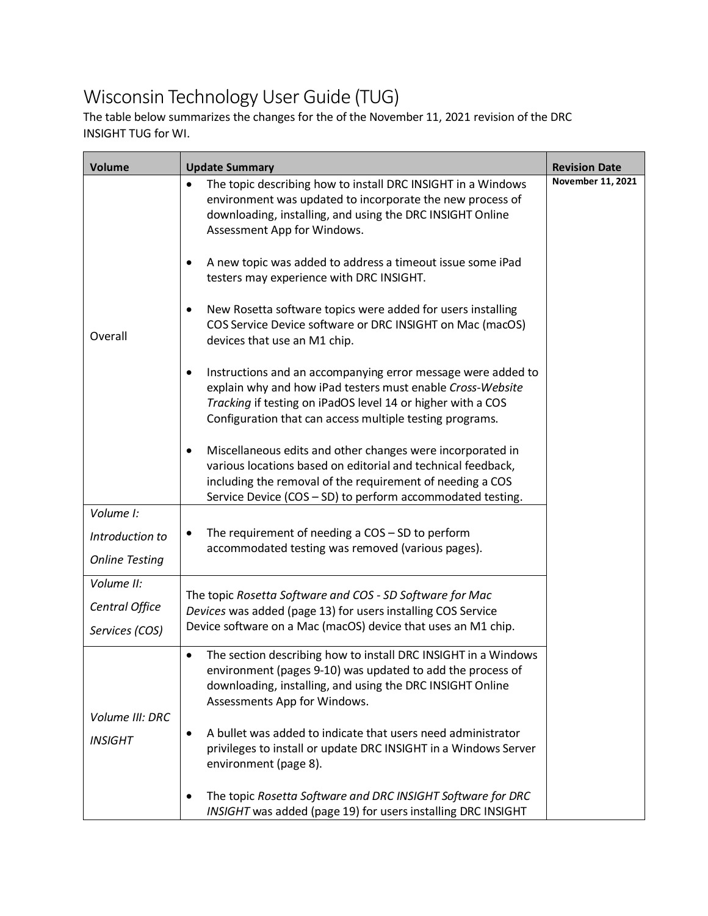## Wisconsin Technology User Guide (TUG)

The table below summarizes the changes for the of the November 11, 2021 revision of the DRC INSIGHT TUG for WI.

| <b>Volume</b>                     | <b>Update Summary</b>                                                                                                                                                                                                                                      | <b>Revision Date</b> |
|-----------------------------------|------------------------------------------------------------------------------------------------------------------------------------------------------------------------------------------------------------------------------------------------------------|----------------------|
| Overall                           | The topic describing how to install DRC INSIGHT in a Windows<br>$\bullet$<br>environment was updated to incorporate the new process of<br>downloading, installing, and using the DRC INSIGHT Online<br>Assessment App for Windows.                         | November 11, 2021    |
|                                   | A new topic was added to address a timeout issue some iPad<br>٠<br>testers may experience with DRC INSIGHT.                                                                                                                                                |                      |
|                                   | New Rosetta software topics were added for users installing<br>٠<br>COS Service Device software or DRC INSIGHT on Mac (macOS)<br>devices that use an M1 chip.                                                                                              |                      |
|                                   | Instructions and an accompanying error message were added to<br>٠<br>explain why and how iPad testers must enable Cross-Website<br>Tracking if testing on iPadOS level 14 or higher with a COS<br>Configuration that can access multiple testing programs. |                      |
|                                   | Miscellaneous edits and other changes were incorporated in<br>various locations based on editorial and technical feedback,<br>including the removal of the requirement of needing a COS<br>Service Device (COS - SD) to perform accommodated testing.      |                      |
| Volume I:                         |                                                                                                                                                                                                                                                            |                      |
| Introduction to                   | The requirement of needing a $COS - SD$ to perform<br>٠<br>accommodated testing was removed (various pages).                                                                                                                                               |                      |
| <b>Online Testing</b>             |                                                                                                                                                                                                                                                            |                      |
| Volume II:                        | The topic Rosetta Software and COS - SD Software for Mac                                                                                                                                                                                                   |                      |
| Central Office                    | Devices was added (page 13) for users installing COS Service                                                                                                                                                                                               |                      |
| Services (COS)                    | Device software on a Mac (macOS) device that uses an M1 chip.                                                                                                                                                                                              |                      |
| Volume III: DRC<br><b>INSIGHT</b> | The section describing how to install DRC INSIGHT in a Windows<br>$\bullet$<br>environment (pages 9-10) was updated to add the process of<br>downloading, installing, and using the DRC INSIGHT Online<br>Assessments App for Windows.                     |                      |
|                                   | A bullet was added to indicate that users need administrator<br>٠<br>privileges to install or update DRC INSIGHT in a Windows Server<br>environment (page 8).                                                                                              |                      |
|                                   | The topic Rosetta Software and DRC INSIGHT Software for DRC<br>INSIGHT was added (page 19) for users installing DRC INSIGHT                                                                                                                                |                      |